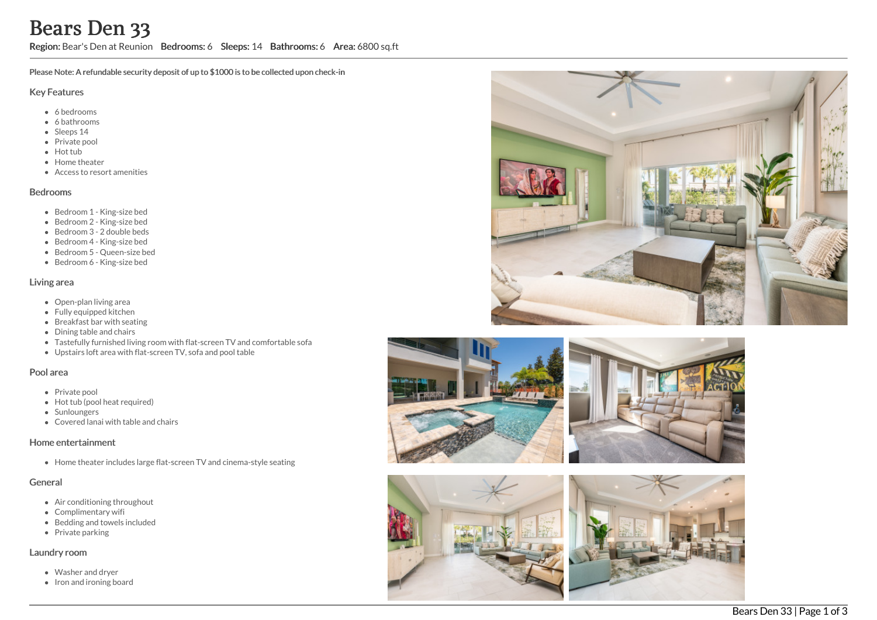# Bears Den 33

Region: Bear's Den at Reunion Bedrooms: 6 Sleeps: 14 Bathrooms: 6 Area: 6800 sq.ft

Please Note: A refundable security deposit of up to \$1000 is to be collected upon check-in

#### Key Features

- 6 bedrooms
- 6 bathrooms
- Sleeps 14
- Private pool
- Hot tub
- Home theater
- Access to resort amenities

#### Bedrooms

- Bedroom 1 King-size bed
- Bedroom 2 King-size bed
- Bedroom 3 2 double beds
- Bedroom 4 King-size bed
- Bedroom 5 Queen-size bed
- Bedroom 6 King-size bed

#### Living area

- Open-plan living area
- Fully equipped kitchen
- $\bullet$  Breakfast bar with seating
- Dining table and chairs
- Tastefully furnished living room with flat-screen TV and comfortable sofa
- Upstairs loft area with flat-screen TV, sofa and pool table

#### Pool area

- Private pool
- Hot tub (pool heat required)
- Sunloungers
- Covered lanai with table and chairs

#### Home entertainment

Home theater includes large flat-screen TV and cinema-style seating

### General

- Air conditioning throughout
- Complimentary wifi
- Bedding and towels included
- Private parking

#### Laundry room

- Washer and dryer
- Iron and ironing board







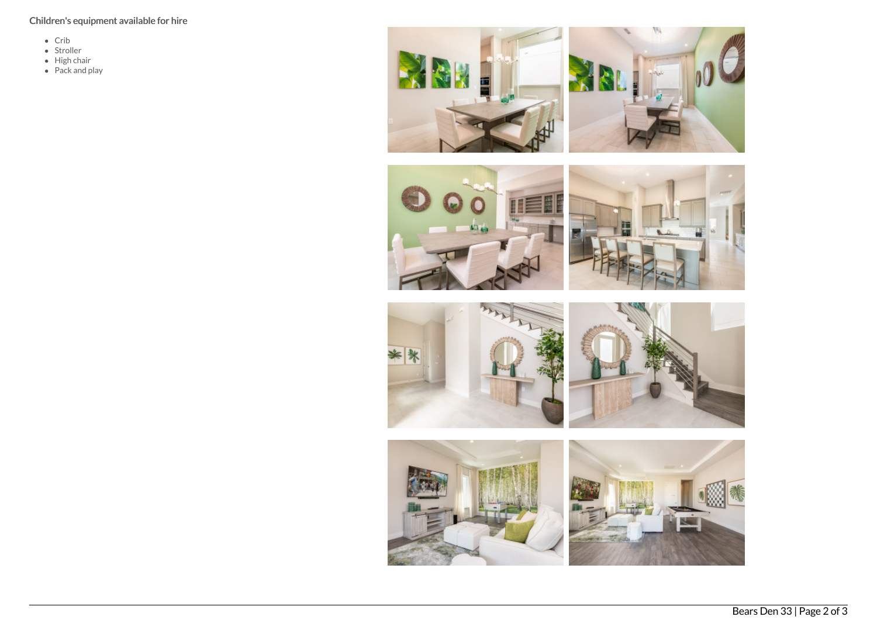## Children's equipment available for hire

- Crib
- Stroller
- High chair
- Pack and play